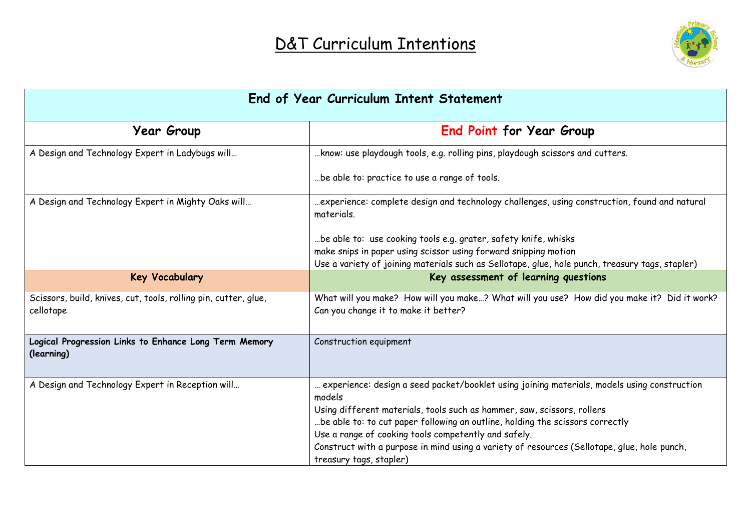

| End of Year Curriculum Intent Statement                                      |                                                                                                                                                                                  |  |  |
|------------------------------------------------------------------------------|----------------------------------------------------------------------------------------------------------------------------------------------------------------------------------|--|--|
| <b>Year Group</b>                                                            | <b>End Point for Year Group</b>                                                                                                                                                  |  |  |
| A Design and Technology Expert in Ladybugs will                              | know: use playdough tools, e.g. rolling pins, playdough scissors and cutters.                                                                                                    |  |  |
|                                                                              | be able to: practice to use a range of tools.                                                                                                                                    |  |  |
| A Design and Technology Expert in Mighty Oaks will                           | experience: complete design and technology challenges, using construction, found and natural<br>materials.                                                                       |  |  |
|                                                                              | be able to: use cooking tools e.g. grater, safety knife, whisks                                                                                                                  |  |  |
|                                                                              | make snips in paper using scissor using forward snipping motion                                                                                                                  |  |  |
|                                                                              | Use a variety of joining materials such as Sellotape, glue, hole punch, treasury tags, stapler)                                                                                  |  |  |
| <b>Key Vocabulary</b>                                                        | Key assessment of learning questions                                                                                                                                             |  |  |
| Scissors, build, knives, cut, tools, rolling pin, cutter, glue,<br>cellotape | What will you make? How will you make? What will you use? How did you make it? Did it work?<br>Can you change it to make it better?                                              |  |  |
| Logical Progression Links to Enhance Long Term Memory<br>(learning)          | Construction equipment                                                                                                                                                           |  |  |
| A Design and Technology Expert in Reception will                             | experience: design a seed packet/booklet using joining materials, models using construction<br>models<br>Using different materials, tools such as hammer, saw, scissors, rollers |  |  |
|                                                                              | be able to: to cut paper following an outline, holding the scissors correctly                                                                                                    |  |  |
|                                                                              | Use a range of cooking tools competently and safely.                                                                                                                             |  |  |
|                                                                              | Construct with a purpose in mind using a variety of resources (Sellotape, glue, hole punch,<br>treasury tags, stapler)                                                           |  |  |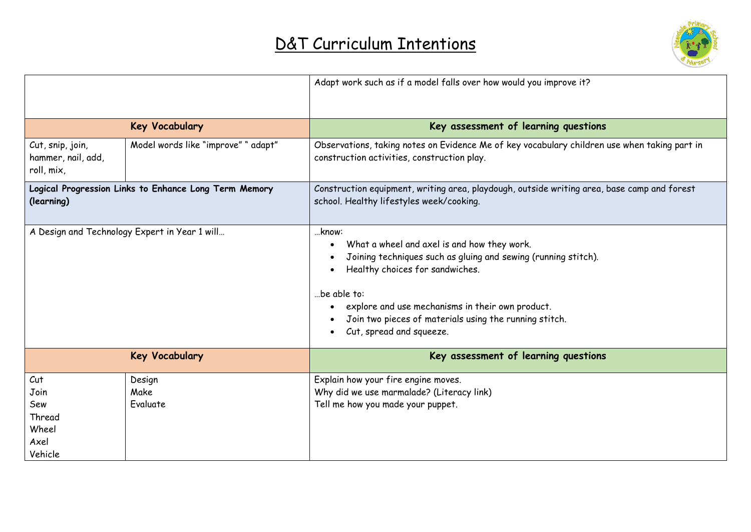

|                                                                     |                                     | Adapt work such as if a model falls over how would you improve it?                                                                                                                                                                                                                                                 |  |
|---------------------------------------------------------------------|-------------------------------------|--------------------------------------------------------------------------------------------------------------------------------------------------------------------------------------------------------------------------------------------------------------------------------------------------------------------|--|
|                                                                     | <b>Key Vocabulary</b>               | Key assessment of learning questions                                                                                                                                                                                                                                                                               |  |
| Cut, snip, join,<br>hammer, nail, add,<br>roll, mix,                | Model words like "improve" " adapt" | Observations, taking notes on Evidence Me of key vocabulary children use when taking part in<br>construction activities, construction play.                                                                                                                                                                        |  |
| Logical Progression Links to Enhance Long Term Memory<br>(learning) |                                     | Construction equipment, writing area, playdough, outside writing area, base camp and forest<br>school. Healthy lifestyles week/cooking.                                                                                                                                                                            |  |
| A Design and Technology Expert in Year 1 will                       |                                     | know:<br>What a wheel and axel is and how they work.<br>Joining techniques such as gluing and sewing (running stitch).<br>Healthy choices for sandwiches.<br>be able to:<br>explore and use mechanisms in their own product.<br>Join two pieces of materials using the running stitch.<br>Cut, spread and squeeze. |  |
|                                                                     | <b>Key Vocabulary</b>               | Key assessment of learning questions                                                                                                                                                                                                                                                                               |  |
| Cut<br>Join<br>Sew<br>Thread<br>Wheel<br>Axel<br>Vehicle            | Design<br>Make<br>Evaluate          | Explain how your fire engine moves.<br>Why did we use marmalade? (Literacy link)<br>Tell me how you made your puppet.                                                                                                                                                                                              |  |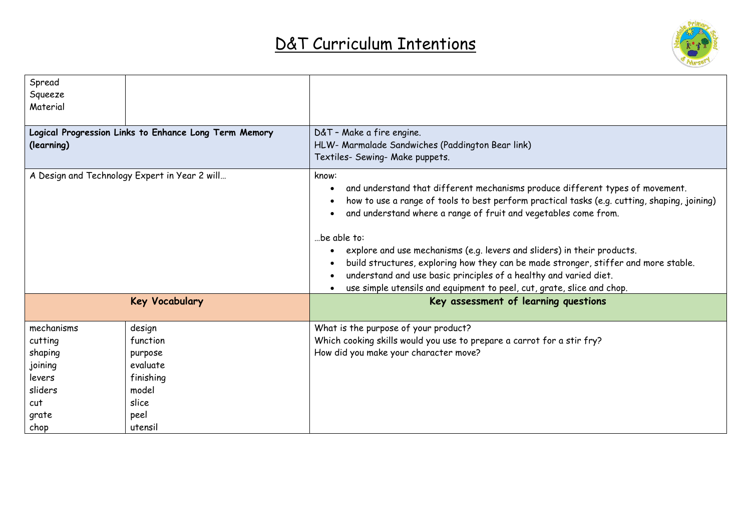

| Spread<br>Squeeze<br>Material                                       |                       |                                                                                                                                                                                                                                                                                                                                                                                                                                                                                                                                                                                           |  |
|---------------------------------------------------------------------|-----------------------|-------------------------------------------------------------------------------------------------------------------------------------------------------------------------------------------------------------------------------------------------------------------------------------------------------------------------------------------------------------------------------------------------------------------------------------------------------------------------------------------------------------------------------------------------------------------------------------------|--|
| Logical Progression Links to Enhance Long Term Memory<br>(learning) |                       | D&T - Make a fire engine.<br>HLW- Marmalade Sandwiches (Paddington Bear link)<br>Textiles- Sewing- Make puppets.                                                                                                                                                                                                                                                                                                                                                                                                                                                                          |  |
| A Design and Technology Expert in Year 2 will                       |                       | know:<br>and understand that different mechanisms produce different types of movement.<br>how to use a range of tools to best perform practical tasks (e.g. cutting, shaping, joining)<br>and understand where a range of fruit and vegetables come from.<br>be able to:<br>explore and use mechanisms (e.g. levers and sliders) in their products.<br>build structures, exploring how they can be made stronger, stiffer and more stable.<br>understand and use basic principles of a healthy and varied diet.<br>use simple utensils and equipment to peel, cut, grate, slice and chop. |  |
|                                                                     | <b>Key Vocabulary</b> | Key assessment of learning questions                                                                                                                                                                                                                                                                                                                                                                                                                                                                                                                                                      |  |
| mechanisms                                                          | design                | What is the purpose of your product?                                                                                                                                                                                                                                                                                                                                                                                                                                                                                                                                                      |  |
| cutting                                                             | function              | Which cooking skills would you use to prepare a carrot for a stir fry?                                                                                                                                                                                                                                                                                                                                                                                                                                                                                                                    |  |
| shaping                                                             | purpose               | How did you make your character move?                                                                                                                                                                                                                                                                                                                                                                                                                                                                                                                                                     |  |
| joining                                                             | evaluate              |                                                                                                                                                                                                                                                                                                                                                                                                                                                                                                                                                                                           |  |
| levers                                                              | finishing             |                                                                                                                                                                                                                                                                                                                                                                                                                                                                                                                                                                                           |  |
| sliders                                                             | model                 |                                                                                                                                                                                                                                                                                                                                                                                                                                                                                                                                                                                           |  |
| cut                                                                 | slice                 |                                                                                                                                                                                                                                                                                                                                                                                                                                                                                                                                                                                           |  |
| grate                                                               | peel                  |                                                                                                                                                                                                                                                                                                                                                                                                                                                                                                                                                                                           |  |
| chop                                                                | utensil               |                                                                                                                                                                                                                                                                                                                                                                                                                                                                                                                                                                                           |  |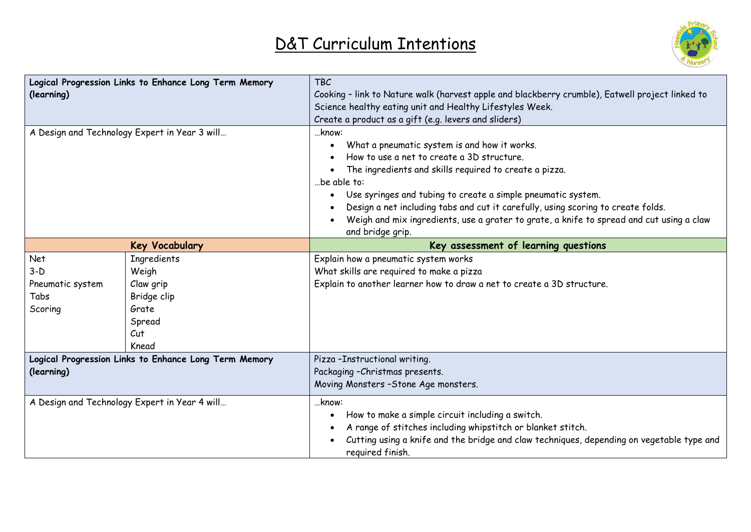

| Logical Progression Links to Enhance Long Term Memory<br>(learning) |                                                                                            | <b>TBC</b><br>Cooking - link to Nature walk (harvest apple and blackberry crumble), Eatwell project linked to<br>Science healthy eating unit and Healthy Lifestyles Week.<br>Create a product as a gift (e.g. levers and sliders)                                                                                                                                                                                                                |  |
|---------------------------------------------------------------------|--------------------------------------------------------------------------------------------|--------------------------------------------------------------------------------------------------------------------------------------------------------------------------------------------------------------------------------------------------------------------------------------------------------------------------------------------------------------------------------------------------------------------------------------------------|--|
| A Design and Technology Expert in Year 3 will                       |                                                                                            | know:<br>What a pneumatic system is and how it works.<br>How to use a net to create a 3D structure.<br>The ingredients and skills required to create a pizza.<br>be able to:<br>Use syringes and tubing to create a simple pneumatic system.<br>Design a net including tabs and cut it carefully, using scoring to create folds.<br>Weigh and mix ingredients, use a grater to grate, a knife to spread and cut using a claw<br>and bridge grip. |  |
| <b>Key Vocabulary</b>                                               |                                                                                            | Key assessment of learning questions                                                                                                                                                                                                                                                                                                                                                                                                             |  |
| Net<br>$3-D$<br>Pneumatic system<br>Tabs<br>Scoring                 | <b>Ingredients</b><br>Weigh<br>Claw grip<br>Bridge clip<br>Grate<br>Spread<br>Cut<br>Knead | Explain how a pneumatic system works<br>What skills are required to make a pizza<br>Explain to another learner how to draw a net to create a 3D structure.                                                                                                                                                                                                                                                                                       |  |
| (learning)                                                          | Logical Progression Links to Enhance Long Term Memory                                      | Pizza-Instructional writing.<br>Packaging - Christmas presents.<br>Moving Monsters - Stone Age monsters.                                                                                                                                                                                                                                                                                                                                         |  |
|                                                                     | A Design and Technology Expert in Year 4 will                                              | know:<br>How to make a simple circuit including a switch.<br>A range of stitches including whipstitch or blanket stitch.<br>Cutting using a knife and the bridge and claw techniques, depending on vegetable type and<br>required finish.                                                                                                                                                                                                        |  |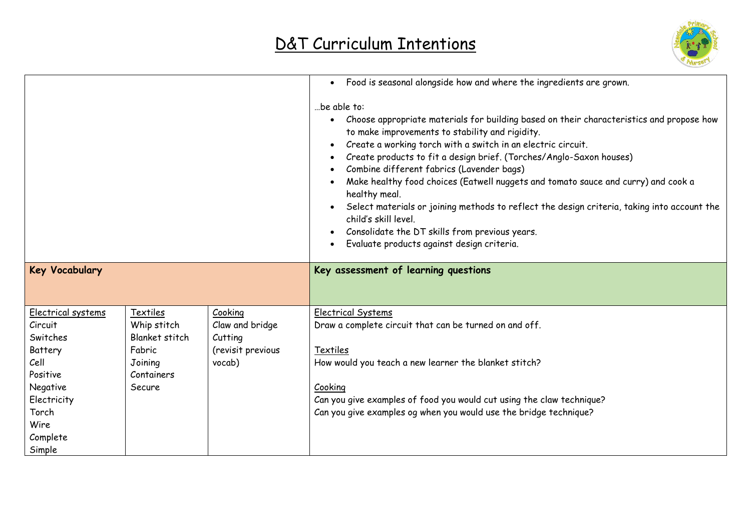

|                                                                                                                                            |                                                                                        |                                                                      | Food is seasonal alongside how and where the ingredients are grown.<br>$\bullet$                                                                                                                                                                                                                                                                                                                                                                                                                                                                                                                                                                                                         |
|--------------------------------------------------------------------------------------------------------------------------------------------|----------------------------------------------------------------------------------------|----------------------------------------------------------------------|------------------------------------------------------------------------------------------------------------------------------------------------------------------------------------------------------------------------------------------------------------------------------------------------------------------------------------------------------------------------------------------------------------------------------------------------------------------------------------------------------------------------------------------------------------------------------------------------------------------------------------------------------------------------------------------|
|                                                                                                                                            |                                                                                        |                                                                      | be able to:<br>Choose appropriate materials for building based on their characteristics and propose how<br>to make improvements to stability and rigidity.<br>Create a working torch with a switch in an electric circuit.<br>$\bullet$<br>Create products to fit a design brief. (Torches/Anglo-Saxon houses)<br>Combine different fabrics (Lavender bags)<br>Make healthy food choices (Eatwell nuggets and tomato sauce and curry) and cook a<br>healthy meal.<br>Select materials or joining methods to reflect the design criteria, taking into account the<br>child's skill level.<br>Consolidate the DT skills from previous years.<br>Evaluate products against design criteria. |
| <b>Key Vocabulary</b>                                                                                                                      |                                                                                        |                                                                      | Key assessment of learning questions                                                                                                                                                                                                                                                                                                                                                                                                                                                                                                                                                                                                                                                     |
| Electrical systems<br>Circuit<br>Switches<br>Battery<br>Cell<br>Positive<br>Negative<br>Electricity<br>Torch<br>Wire<br>Complete<br>Simple | Textiles<br>Whip stitch<br>Blanket stitch<br>Fabric<br>Joining<br>Containers<br>Secure | Cooking<br>Claw and bridge<br>Cutting<br>(revisit previous<br>vocab) | Electrical Systems<br>Draw a complete circuit that can be turned on and off.<br>Textiles<br>How would you teach a new learner the blanket stitch?<br>Cooking<br>Can you give examples of food you would cut using the claw technique?<br>Can you give examples og when you would use the bridge technique?                                                                                                                                                                                                                                                                                                                                                                               |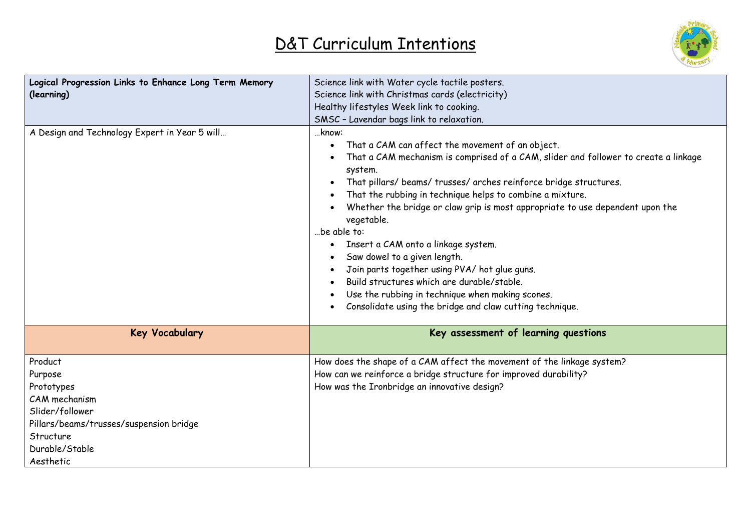

| Logical Progression Links to Enhance Long Term Memory | Science link with Water cycle tactile posters.                                                                                                                                                                                                                                                                                                                                                                                                                                                                                                                                                                                                                                                     |
|-------------------------------------------------------|----------------------------------------------------------------------------------------------------------------------------------------------------------------------------------------------------------------------------------------------------------------------------------------------------------------------------------------------------------------------------------------------------------------------------------------------------------------------------------------------------------------------------------------------------------------------------------------------------------------------------------------------------------------------------------------------------|
| (learning)                                            | Science link with Christmas cards (electricity)                                                                                                                                                                                                                                                                                                                                                                                                                                                                                                                                                                                                                                                    |
|                                                       | Healthy lifestyles Week link to cooking.                                                                                                                                                                                                                                                                                                                                                                                                                                                                                                                                                                                                                                                           |
|                                                       | SMSC - Lavendar bags link to relaxation.                                                                                                                                                                                                                                                                                                                                                                                                                                                                                                                                                                                                                                                           |
| A Design and Technology Expert in Year 5 will         | know:<br>That a CAM can affect the movement of an object.<br>That a CAM mechanism is comprised of a CAM, slider and follower to create a linkage<br>system.<br>That pillars/ beams/ trusses/ arches reinforce bridge structures.<br>That the rubbing in technique helps to combine a mixture.<br>Whether the bridge or claw grip is most appropriate to use dependent upon the<br>vegetable.<br>.be able to:<br>Insert a CAM onto a linkage system.<br>Saw dowel to a given length.<br>Join parts together using PVA/ hot glue guns.<br>Build structures which are durable/stable.<br>Use the rubbing in technique when making scones.<br>Consolidate using the bridge and claw cutting technique. |
| <b>Key Vocabulary</b>                                 | Key assessment of learning questions                                                                                                                                                                                                                                                                                                                                                                                                                                                                                                                                                                                                                                                               |
| Product                                               | How does the shape of a CAM affect the movement of the linkage system?                                                                                                                                                                                                                                                                                                                                                                                                                                                                                                                                                                                                                             |
| Purpose                                               | How can we reinforce a bridge structure for improved durability?                                                                                                                                                                                                                                                                                                                                                                                                                                                                                                                                                                                                                                   |
| Prototypes                                            | How was the Ironbridge an innovative design?                                                                                                                                                                                                                                                                                                                                                                                                                                                                                                                                                                                                                                                       |
| CAM mechanism                                         |                                                                                                                                                                                                                                                                                                                                                                                                                                                                                                                                                                                                                                                                                                    |
| Slider/follower                                       |                                                                                                                                                                                                                                                                                                                                                                                                                                                                                                                                                                                                                                                                                                    |
| Pillars/beams/trusses/suspension bridge               |                                                                                                                                                                                                                                                                                                                                                                                                                                                                                                                                                                                                                                                                                                    |
| Structure                                             |                                                                                                                                                                                                                                                                                                                                                                                                                                                                                                                                                                                                                                                                                                    |
| Durable/Stable                                        |                                                                                                                                                                                                                                                                                                                                                                                                                                                                                                                                                                                                                                                                                                    |
| Aesthetic                                             |                                                                                                                                                                                                                                                                                                                                                                                                                                                                                                                                                                                                                                                                                                    |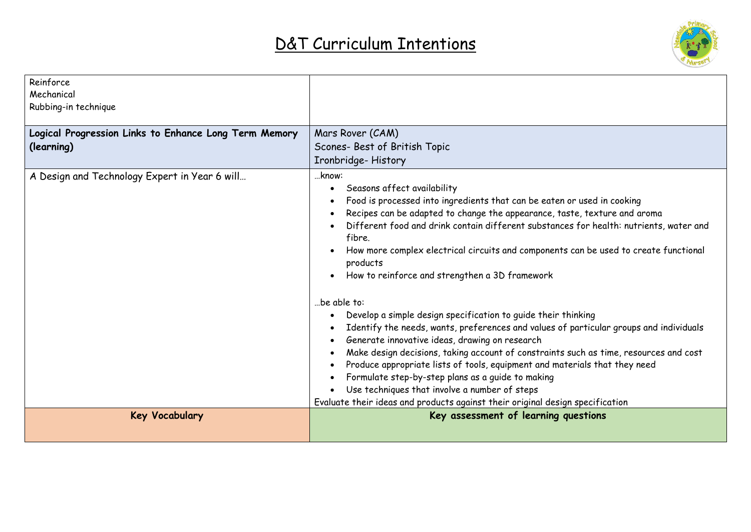

| Reinforce                                             |                                                                                                                                          |
|-------------------------------------------------------|------------------------------------------------------------------------------------------------------------------------------------------|
| Mechanical                                            |                                                                                                                                          |
| Rubbing-in technique                                  |                                                                                                                                          |
|                                                       |                                                                                                                                          |
| Logical Progression Links to Enhance Long Term Memory | Mars Rover (CAM)                                                                                                                         |
| (learning)                                            | Scones- Best of British Topic                                                                                                            |
|                                                       | Ironbridge-History                                                                                                                       |
| A Design and Technology Expert in Year 6 will         | know:                                                                                                                                    |
|                                                       | Seasons affect availability<br>$\bullet$                                                                                                 |
|                                                       | Food is processed into ingredients that can be eaten or used in cooking                                                                  |
|                                                       | Recipes can be adapted to change the appearance, taste, texture and aroma                                                                |
|                                                       | Different food and drink contain different substances for health: nutrients, water and                                                   |
|                                                       | fibre.                                                                                                                                   |
|                                                       | How more complex electrical circuits and components can be used to create functional<br>products                                         |
|                                                       | How to reinforce and strengthen a 3D framework                                                                                           |
|                                                       | be able to:                                                                                                                              |
|                                                       | Develop a simple design specification to guide their thinking                                                                            |
|                                                       | Identify the needs, wants, preferences and values of particular groups and individuals<br>Generate innovative ideas, drawing on research |
|                                                       | Make design decisions, taking account of constraints such as time, resources and cost                                                    |
|                                                       | Produce appropriate lists of tools, equipment and materials that they need                                                               |
|                                                       | Formulate step-by-step plans as a guide to making                                                                                        |
|                                                       | Use techniques that involve a number of steps                                                                                            |
|                                                       | Evaluate their ideas and products against their original design specification                                                            |
| <b>Key Vocabulary</b>                                 | Key assessment of learning questions                                                                                                     |
|                                                       |                                                                                                                                          |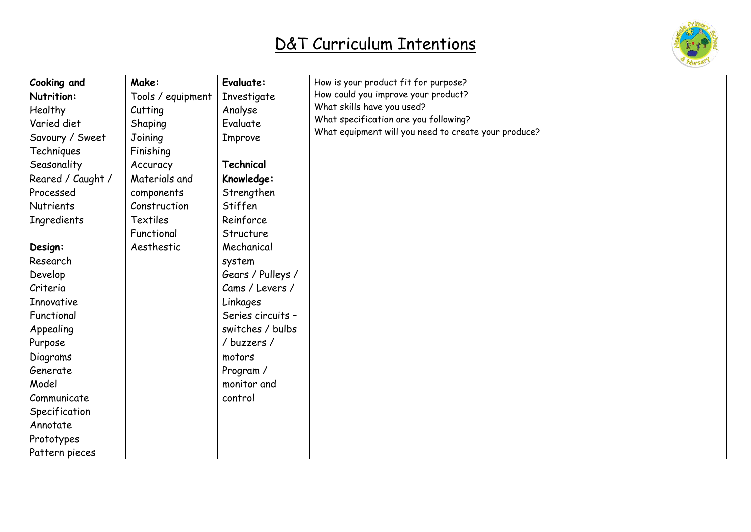

| Cooking and       | Make:             | Evaluate:         | How is your product fit for purpose?                 |
|-------------------|-------------------|-------------------|------------------------------------------------------|
| Nutrition:        | Tools / equipment | Investigate       | How could you improve your product?                  |
| Healthy           | Cutting           | Analyse           | What skills have you used?                           |
| Varied diet       | Shaping           | Evaluate          | What specification are you following?                |
| Savoury / Sweet   | Joining           | Improve           | What equipment will you need to create your produce? |
| Techniques        | Finishing         |                   |                                                      |
| Seasonality       | Accuracy          | Technical         |                                                      |
| Reared / Caught / | Materials and     | Knowledge:        |                                                      |
| Processed         | components        | Strengthen        |                                                      |
| <b>Nutrients</b>  | Construction      | Stiffen           |                                                      |
| Ingredients       | <b>Textiles</b>   | Reinforce         |                                                      |
|                   | Functional        | Structure         |                                                      |
| Design:           | Aesthestic        | Mechanical        |                                                      |
| Research          |                   | system            |                                                      |
| Develop           |                   | Gears / Pulleys / |                                                      |
| Criteria          |                   | Cams / Levers /   |                                                      |
| Innovative        |                   | Linkages          |                                                      |
| Functional        |                   | Series circuits - |                                                      |
| Appealing         |                   | switches / bulbs  |                                                      |
| Purpose           |                   | / buzzers /       |                                                      |
| Diagrams          |                   | motors            |                                                      |
| Generate          |                   | Program /         |                                                      |
| Model             |                   | monitor and       |                                                      |
| Communicate       |                   | control           |                                                      |
| Specification     |                   |                   |                                                      |
| Annotate          |                   |                   |                                                      |
| Prototypes        |                   |                   |                                                      |
| Pattern pieces    |                   |                   |                                                      |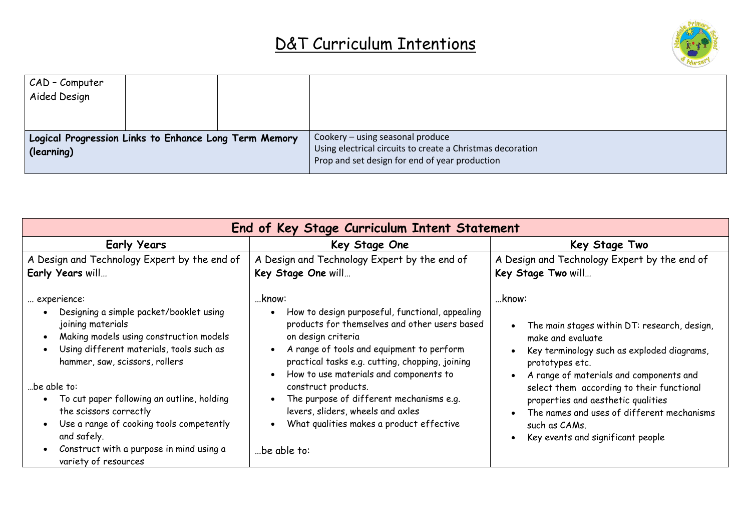

| CAD - Computer<br>Aided Design                                      |  |                                                                                                                                                  |
|---------------------------------------------------------------------|--|--------------------------------------------------------------------------------------------------------------------------------------------------|
| Logical Progression Links to Enhance Long Term Memory<br>(learning) |  | Cookery – using seasonal produce<br>Using electrical circuits to create a Christmas decoration<br>Prop and set design for end of year production |

| End of Key Stage Curriculum Intent Statement                                                                                                                                                                                                                                                                                                                                                                               |                                                                                                                                                                                                                                                                                                                                                                                                                                                                         |                                                                                                                                                                                                                                                                                                                                                                                |  |
|----------------------------------------------------------------------------------------------------------------------------------------------------------------------------------------------------------------------------------------------------------------------------------------------------------------------------------------------------------------------------------------------------------------------------|-------------------------------------------------------------------------------------------------------------------------------------------------------------------------------------------------------------------------------------------------------------------------------------------------------------------------------------------------------------------------------------------------------------------------------------------------------------------------|--------------------------------------------------------------------------------------------------------------------------------------------------------------------------------------------------------------------------------------------------------------------------------------------------------------------------------------------------------------------------------|--|
| <b>Early Years</b>                                                                                                                                                                                                                                                                                                                                                                                                         | Key Stage One                                                                                                                                                                                                                                                                                                                                                                                                                                                           | Key Stage Two                                                                                                                                                                                                                                                                                                                                                                  |  |
| A Design and Technology Expert by the end of<br>Early Years will                                                                                                                                                                                                                                                                                                                                                           | A Design and Technology Expert by the end of<br>Key Stage One will                                                                                                                                                                                                                                                                                                                                                                                                      | A Design and Technology Expert by the end of<br>Key Stage Two will                                                                                                                                                                                                                                                                                                             |  |
| experience:<br>Designing a simple packet/booklet using<br>joining materials<br>Making models using construction models<br>Using different materials, tools such as<br>hammer, saw, scissors, rollers<br>be able to:<br>To cut paper following an outline, holding<br>the scissors correctly<br>Use a range of cooking tools competently<br>and safely.<br>Construct with a purpose in mind using a<br>variety of resources | …know:<br>How to design purposeful, functional, appealing<br>products for themselves and other users based<br>on design criteria<br>A range of tools and equipment to perform<br>$\bullet$<br>practical tasks e.g. cutting, chopping, joining<br>How to use materials and components to<br>$\bullet$<br>construct products.<br>The purpose of different mechanisms e.g.<br>levers, sliders, wheels and axles<br>What qualities makes a product effective<br>be able to: | …know:<br>The main stages within DT: research, design,<br>make and evaluate<br>Key terminology such as exploded diagrams,<br>prototypes etc.<br>A range of materials and components and<br>select them according to their functional<br>properties and aesthetic qualities<br>The names and uses of different mechanisms<br>such as CAMs.<br>Key events and significant people |  |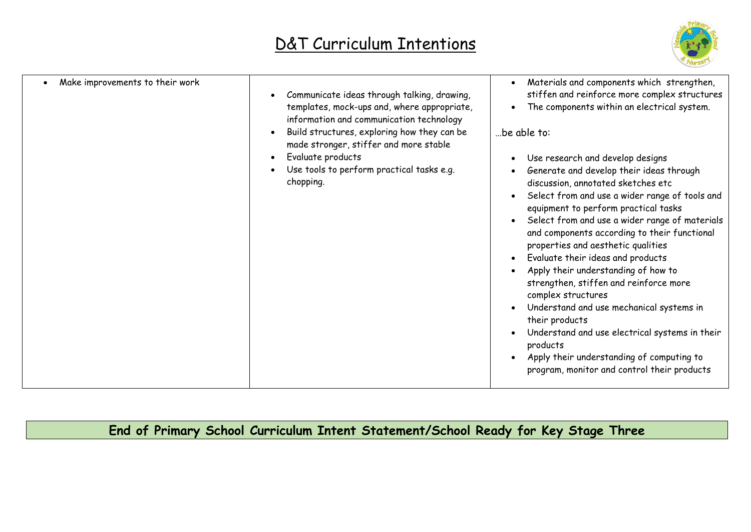

| Make improvements to their work | Communicate ideas through talking, drawing,<br>templates, mock-ups and, where appropriate,<br>information and communication technology<br>Build structures, exploring how they can be<br>made stronger, stiffer and more stable<br>Evaluate products<br>Use tools to perform practical tasks e.g.<br>chopping. | Materials and components which strengthen,<br>stiffen and reinforce more complex structures<br>The components within an electrical system.<br>be able to:<br>Use research and develop designs<br>Generate and develop their ideas through<br>discussion, annotated sketches etc<br>Select from and use a wider range of tools and<br>equipment to perform practical tasks<br>Select from and use a wider range of materials<br>and components according to their functional<br>properties and aesthetic qualities<br>Evaluate their ideas and products<br>Apply their understanding of how to<br>strengthen, stiffen and reinforce more<br>complex structures<br>Understand and use mechanical systems in<br>their products<br>Understand and use electrical systems in their<br>products<br>Apply their understanding of computing to<br>program, monitor and control their products |
|---------------------------------|----------------------------------------------------------------------------------------------------------------------------------------------------------------------------------------------------------------------------------------------------------------------------------------------------------------|---------------------------------------------------------------------------------------------------------------------------------------------------------------------------------------------------------------------------------------------------------------------------------------------------------------------------------------------------------------------------------------------------------------------------------------------------------------------------------------------------------------------------------------------------------------------------------------------------------------------------------------------------------------------------------------------------------------------------------------------------------------------------------------------------------------------------------------------------------------------------------------|

**End of Primary School Curriculum Intent Statement/School Ready for Key Stage Three**